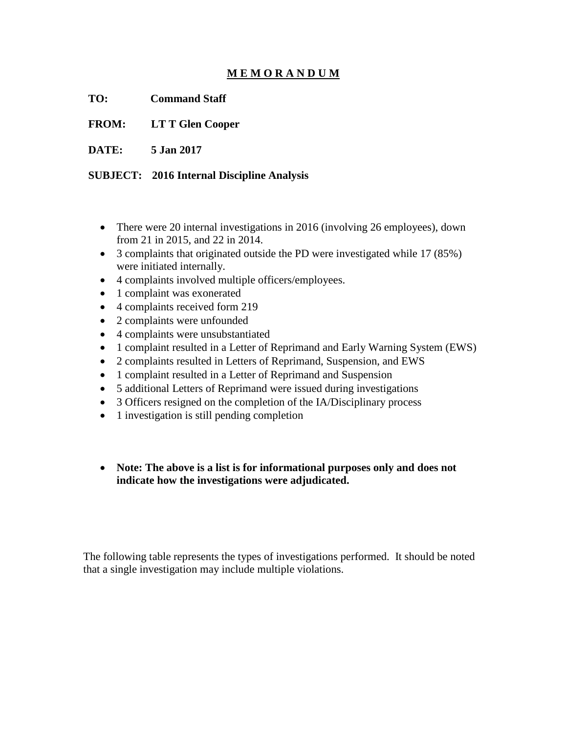## **M E M O R A N D U M**

**TO: Command Staff**

**FROM: LT T Glen Cooper**

**DATE: 5 Jan 2017**

## **SUBJECT: 2016 Internal Discipline Analysis**

- There were 20 internal investigations in 2016 (involving 26 employees), down from 21 in 2015, and 22 in 2014.
- 3 complaints that originated outside the PD were investigated while 17 (85%) were initiated internally.
- 4 complaints involved multiple officers/employees.
- 1 complaint was exonerated
- 4 complaints received form 219
- 2 complaints were unfounded
- 4 complaints were unsubstantiated
- 1 complaint resulted in a Letter of Reprimand and Early Warning System (EWS)
- 2 complaints resulted in Letters of Reprimand, Suspension, and EWS
- 1 complaint resulted in a Letter of Reprimand and Suspension
- 5 additional Letters of Reprimand were issued during investigations
- 3 Officers resigned on the completion of the IA/Disciplinary process
- 1 investigation is still pending completion
- **Note: The above is a list is for informational purposes only and does not indicate how the investigations were adjudicated.**

The following table represents the types of investigations performed. It should be noted that a single investigation may include multiple violations.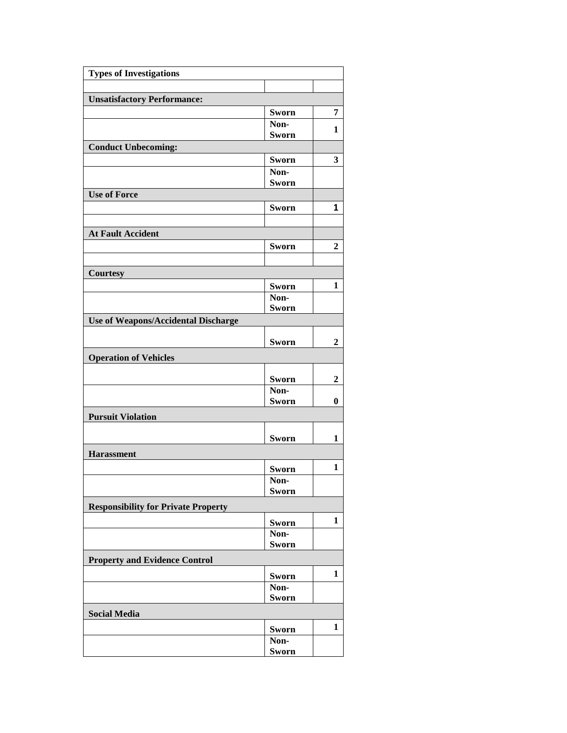| <b>Unsatisfactory Performance:</b><br><b>Sworn</b><br>7<br>Non-<br>1<br><b>Sworn</b><br><b>Conduct Unbecoming:</b><br>3<br><b>Sworn</b><br>Non-<br><b>Sworn</b><br><b>Use of Force</b><br><b>Sworn</b><br>1<br><b>At Fault Accident</b><br>Sworn<br>$\overline{2}$<br><b>Courtesy</b><br>1<br>Sworn<br>Non-<br>Sworn<br>Use of Weapons/Accidental Discharge<br>Sworn<br>$\overline{2}$<br><b>Operation of Vehicles</b><br><b>Sworn</b><br>2<br>Non-<br><b>Sworn</b><br>$\bf{0}$<br><b>Pursuit Violation</b><br>Sworn<br>1<br><b>Harassment</b><br>1<br>Sworn<br>$\overline{\text{Non}}$<br>Sworn<br><b>Responsibility for Private Property</b><br>$\mathbf{1}$<br><b>Sworn</b><br>Non-<br><b>Sworn</b><br><b>Property and Evidence Control</b><br>1<br><b>Sworn</b><br>Non-<br>Sworn<br><b>Social Media</b><br>1<br><b>Sworn</b><br>Non-<br>Sworn | <b>Types of Investigations</b> |  |  |
|---------------------------------------------------------------------------------------------------------------------------------------------------------------------------------------------------------------------------------------------------------------------------------------------------------------------------------------------------------------------------------------------------------------------------------------------------------------------------------------------------------------------------------------------------------------------------------------------------------------------------------------------------------------------------------------------------------------------------------------------------------------------------------------------------------------------------------------------------|--------------------------------|--|--|
|                                                                                                                                                                                                                                                                                                                                                                                                                                                                                                                                                                                                                                                                                                                                                                                                                                                   |                                |  |  |
|                                                                                                                                                                                                                                                                                                                                                                                                                                                                                                                                                                                                                                                                                                                                                                                                                                                   |                                |  |  |
|                                                                                                                                                                                                                                                                                                                                                                                                                                                                                                                                                                                                                                                                                                                                                                                                                                                   |                                |  |  |
|                                                                                                                                                                                                                                                                                                                                                                                                                                                                                                                                                                                                                                                                                                                                                                                                                                                   |                                |  |  |
|                                                                                                                                                                                                                                                                                                                                                                                                                                                                                                                                                                                                                                                                                                                                                                                                                                                   |                                |  |  |
|                                                                                                                                                                                                                                                                                                                                                                                                                                                                                                                                                                                                                                                                                                                                                                                                                                                   |                                |  |  |
|                                                                                                                                                                                                                                                                                                                                                                                                                                                                                                                                                                                                                                                                                                                                                                                                                                                   |                                |  |  |
|                                                                                                                                                                                                                                                                                                                                                                                                                                                                                                                                                                                                                                                                                                                                                                                                                                                   |                                |  |  |
|                                                                                                                                                                                                                                                                                                                                                                                                                                                                                                                                                                                                                                                                                                                                                                                                                                                   |                                |  |  |
|                                                                                                                                                                                                                                                                                                                                                                                                                                                                                                                                                                                                                                                                                                                                                                                                                                                   |                                |  |  |
|                                                                                                                                                                                                                                                                                                                                                                                                                                                                                                                                                                                                                                                                                                                                                                                                                                                   |                                |  |  |
|                                                                                                                                                                                                                                                                                                                                                                                                                                                                                                                                                                                                                                                                                                                                                                                                                                                   |                                |  |  |
|                                                                                                                                                                                                                                                                                                                                                                                                                                                                                                                                                                                                                                                                                                                                                                                                                                                   |                                |  |  |
|                                                                                                                                                                                                                                                                                                                                                                                                                                                                                                                                                                                                                                                                                                                                                                                                                                                   |                                |  |  |
|                                                                                                                                                                                                                                                                                                                                                                                                                                                                                                                                                                                                                                                                                                                                                                                                                                                   |                                |  |  |
|                                                                                                                                                                                                                                                                                                                                                                                                                                                                                                                                                                                                                                                                                                                                                                                                                                                   |                                |  |  |
|                                                                                                                                                                                                                                                                                                                                                                                                                                                                                                                                                                                                                                                                                                                                                                                                                                                   |                                |  |  |
|                                                                                                                                                                                                                                                                                                                                                                                                                                                                                                                                                                                                                                                                                                                                                                                                                                                   |                                |  |  |
|                                                                                                                                                                                                                                                                                                                                                                                                                                                                                                                                                                                                                                                                                                                                                                                                                                                   |                                |  |  |
|                                                                                                                                                                                                                                                                                                                                                                                                                                                                                                                                                                                                                                                                                                                                                                                                                                                   |                                |  |  |
|                                                                                                                                                                                                                                                                                                                                                                                                                                                                                                                                                                                                                                                                                                                                                                                                                                                   |                                |  |  |
|                                                                                                                                                                                                                                                                                                                                                                                                                                                                                                                                                                                                                                                                                                                                                                                                                                                   |                                |  |  |
|                                                                                                                                                                                                                                                                                                                                                                                                                                                                                                                                                                                                                                                                                                                                                                                                                                                   |                                |  |  |
|                                                                                                                                                                                                                                                                                                                                                                                                                                                                                                                                                                                                                                                                                                                                                                                                                                                   |                                |  |  |
|                                                                                                                                                                                                                                                                                                                                                                                                                                                                                                                                                                                                                                                                                                                                                                                                                                                   |                                |  |  |
|                                                                                                                                                                                                                                                                                                                                                                                                                                                                                                                                                                                                                                                                                                                                                                                                                                                   |                                |  |  |
|                                                                                                                                                                                                                                                                                                                                                                                                                                                                                                                                                                                                                                                                                                                                                                                                                                                   |                                |  |  |
|                                                                                                                                                                                                                                                                                                                                                                                                                                                                                                                                                                                                                                                                                                                                                                                                                                                   |                                |  |  |
|                                                                                                                                                                                                                                                                                                                                                                                                                                                                                                                                                                                                                                                                                                                                                                                                                                                   |                                |  |  |
|                                                                                                                                                                                                                                                                                                                                                                                                                                                                                                                                                                                                                                                                                                                                                                                                                                                   |                                |  |  |
|                                                                                                                                                                                                                                                                                                                                                                                                                                                                                                                                                                                                                                                                                                                                                                                                                                                   |                                |  |  |
|                                                                                                                                                                                                                                                                                                                                                                                                                                                                                                                                                                                                                                                                                                                                                                                                                                                   |                                |  |  |
|                                                                                                                                                                                                                                                                                                                                                                                                                                                                                                                                                                                                                                                                                                                                                                                                                                                   |                                |  |  |
|                                                                                                                                                                                                                                                                                                                                                                                                                                                                                                                                                                                                                                                                                                                                                                                                                                                   |                                |  |  |
|                                                                                                                                                                                                                                                                                                                                                                                                                                                                                                                                                                                                                                                                                                                                                                                                                                                   |                                |  |  |
|                                                                                                                                                                                                                                                                                                                                                                                                                                                                                                                                                                                                                                                                                                                                                                                                                                                   |                                |  |  |
|                                                                                                                                                                                                                                                                                                                                                                                                                                                                                                                                                                                                                                                                                                                                                                                                                                                   |                                |  |  |
|                                                                                                                                                                                                                                                                                                                                                                                                                                                                                                                                                                                                                                                                                                                                                                                                                                                   |                                |  |  |
|                                                                                                                                                                                                                                                                                                                                                                                                                                                                                                                                                                                                                                                                                                                                                                                                                                                   |                                |  |  |
|                                                                                                                                                                                                                                                                                                                                                                                                                                                                                                                                                                                                                                                                                                                                                                                                                                                   |                                |  |  |
|                                                                                                                                                                                                                                                                                                                                                                                                                                                                                                                                                                                                                                                                                                                                                                                                                                                   |                                |  |  |
|                                                                                                                                                                                                                                                                                                                                                                                                                                                                                                                                                                                                                                                                                                                                                                                                                                                   |                                |  |  |
|                                                                                                                                                                                                                                                                                                                                                                                                                                                                                                                                                                                                                                                                                                                                                                                                                                                   |                                |  |  |
|                                                                                                                                                                                                                                                                                                                                                                                                                                                                                                                                                                                                                                                                                                                                                                                                                                                   |                                |  |  |